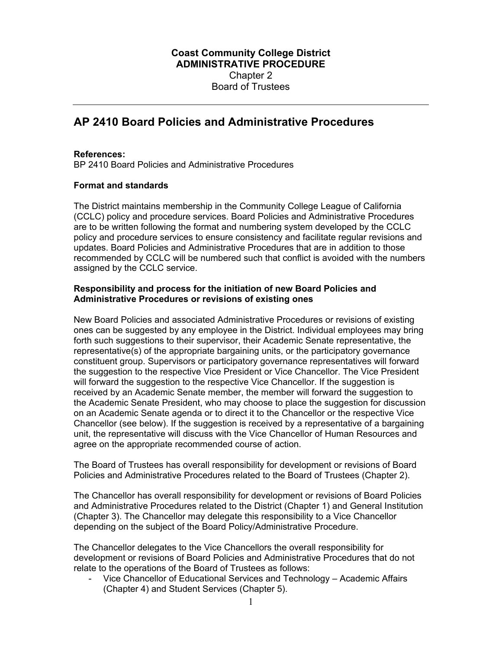## **AP 2410 Board Policies and Administrative Procedures**

## **References:**

BP 2410 Board Policies and Administrative Procedures

## **Format and standards**

The District maintains membership in the Community College League of California (CCLC) policy and procedure services. Board Policies and Administrative Procedures are to be written following the format and numbering system developed by the CCLC policy and procedure services to ensure consistency and facilitate regular revisions and updates. Board Policies and Administrative Procedures that are in addition to those recommended by CCLC will be numbered such that conflict is avoided with the numbers assigned by the CCLC service.

## **Responsibility and process for the initiation of new Board Policies and Administrative Procedures or revisions of existing ones**

New Board Policies and associated Administrative Procedures or revisions of existing ones can be suggested by any employee in the District. Individual employees may bring forth such suggestions to their supervisor, their Academic Senate representative, the representative(s) of the appropriate bargaining units, or the participatory governance constituent group. Supervisors or participatory governance representatives will forward the suggestion to the respective Vice President or Vice Chancellor. The Vice President will forward the suggestion to the respective Vice Chancellor. If the suggestion is received by an Academic Senate member, the member will forward the suggestion to the Academic Senate President, who may choose to place the suggestion for discussion on an Academic Senate agenda or to direct it to the Chancellor or the respective Vice Chancellor (see below). If the suggestion is received by a representative of a bargaining unit, the representative will discuss with the Vice Chancellor of Human Resources and agree on the appropriate recommended course of action.

The Board of Trustees has overall responsibility for development or revisions of Board Policies and Administrative Procedures related to the Board of Trustees (Chapter 2).

The Chancellor has overall responsibility for development or revisions of Board Policies and Administrative Procedures related to the District (Chapter 1) and General Institution (Chapter 3). The Chancellor may delegate this responsibility to a Vice Chancellor depending on the subject of the Board Policy/Administrative Procedure.

The Chancellor delegates to the Vice Chancellors the overall responsibility for development or revisions of Board Policies and Administrative Procedures that do not relate to the operations of the Board of Trustees as follows:

Vice Chancellor of Educational Services and Technology – Academic Affairs (Chapter 4) and Student Services (Chapter 5).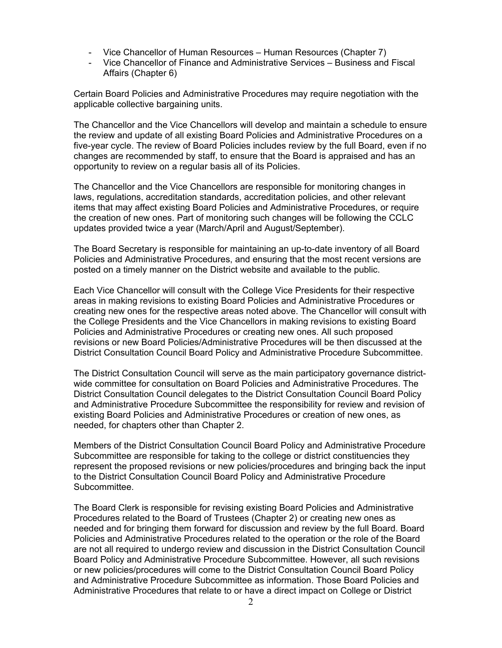- Vice Chancellor of Human Resources Human Resources (Chapter 7)
- Vice Chancellor of Finance and Administrative Services Business and Fiscal Affairs (Chapter 6)

Certain Board Policies and Administrative Procedures may require negotiation with the applicable collective bargaining units.

The Chancellor and the Vice Chancellors will develop and maintain a schedule to ensure the review and update of all existing Board Policies and Administrative Procedures on a five-year cycle. The review of Board Policies includes review by the full Board, even if no changes are recommended by staff, to ensure that the Board is appraised and has an opportunity to review on a regular basis all of its Policies.

The Chancellor and the Vice Chancellors are responsible for monitoring changes in laws, regulations, accreditation standards, accreditation policies, and other relevant items that may affect existing Board Policies and Administrative Procedures, or require the creation of new ones. Part of monitoring such changes will be following the CCLC updates provided twice a year (March/April and August/September).

The Board Secretary is responsible for maintaining an up-to-date inventory of all Board Policies and Administrative Procedures, and ensuring that the most recent versions are posted on a timely manner on the District website and available to the public.

Each Vice Chancellor will consult with the College Vice Presidents for their respective areas in making revisions to existing Board Policies and Administrative Procedures or creating new ones for the respective areas noted above. The Chancellor will consult with the College Presidents and the Vice Chancellors in making revisions to existing Board Policies and Administrative Procedures or creating new ones. All such proposed revisions or new Board Policies/Administrative Procedures will be then discussed at the District Consultation Council Board Policy and Administrative Procedure Subcommittee.

The District Consultation Council will serve as the main participatory governance districtwide committee for consultation on Board Policies and Administrative Procedures. The District Consultation Council delegates to the District Consultation Council Board Policy and Administrative Procedure Subcommittee the responsibility for review and revision of existing Board Policies and Administrative Procedures or creation of new ones, as needed, for chapters other than Chapter 2.

Members of the District Consultation Council Board Policy and Administrative Procedure Subcommittee are responsible for taking to the college or district constituencies they represent the proposed revisions or new policies/procedures and bringing back the input to the District Consultation Council Board Policy and Administrative Procedure Subcommittee.

The Board Clerk is responsible for revising existing Board Policies and Administrative Procedures related to the Board of Trustees (Chapter 2) or creating new ones as needed and for bringing them forward for discussion and review by the full Board. Board Policies and Administrative Procedures related to the operation or the role of the Board are not all required to undergo review and discussion in the District Consultation Council Board Policy and Administrative Procedure Subcommittee. However, all such revisions or new policies/procedures will come to the District Consultation Council Board Policy and Administrative Procedure Subcommittee as information. Those Board Policies and Administrative Procedures that relate to or have a direct impact on College or District